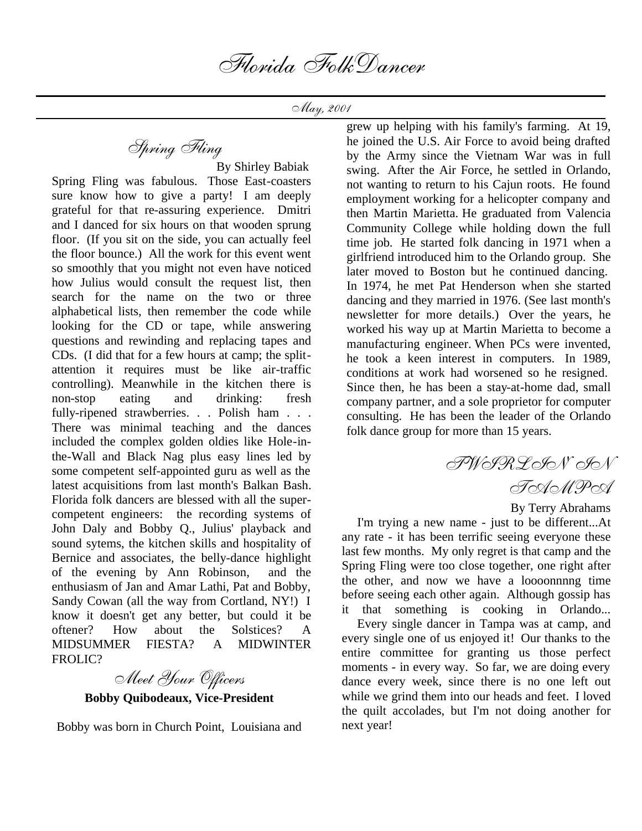May, 2001

Spring Fling

 By Shirley Babiak Spring Fling was fabulous. Those East-coasters sure know how to give a party! I am deeply grateful for that re-assuring experience. Dmitri and I danced for six hours on that wooden sprung floor. (If you sit on the side, you can actually feel the floor bounce.) All the work for this event went so smoothly that you might not even have noticed how Julius would consult the request list, then search for the name on the two or three alphabetical lists, then remember the code while looking for the CD or tape, while answering questions and rewinding and replacing tapes and CDs. (I did that for a few hours at camp; the splitattention it requires must be like air-traffic controlling). Meanwhile in the kitchen there is non-stop eating and drinking: fresh fully-ripened strawberries. . . Polish ham . . . There was minimal teaching and the dances included the complex golden oldies like Hole-inthe-Wall and Black Nag plus easy lines led by some competent self-appointed guru as well as the latest acquisitions from last month's Balkan Bash. Florida folk dancers are blessed with all the supercompetent engineers: the recording systems of John Daly and Bobby Q., Julius' playback and sound sytems, the kitchen skills and hospitality of Bernice and associates, the belly-dance highlight of the evening by Ann Robinson, and the enthusiasm of Jan and Amar Lathi, Pat and Bobby, Sandy Cowan (all the way from Cortland, NY!) I know it doesn't get any better, but could it be oftener? How about the Solstices? A MIDSUMMER FIESTA? A MIDWINTER FROLIC?

Meet Your Officers

**Bobby Quibodeaux, Vice-President**

Bobby was born in Church Point, Louisiana and

grew up helping with his family's farming. At 19, he joined the U.S. Air Force to avoid being drafted by the Army since the Vietnam War was in full swing. After the Air Force, he settled in Orlando, not wanting to return to his Cajun roots. He found employment working for a helicopter company and then Martin Marietta. He graduated from Valencia Community College while holding down the full time job. He started folk dancing in 1971 when a girlfriend introduced him to the Orlando group. She later moved to Boston but he continued dancing. In 1974, he met Pat Henderson when she started dancing and they married in 1976. (See last month's newsletter for more details.) Over the years, he worked his way up at Martin Marietta to become a manufacturing engineer. When PCs were invented, he took a keen interest in computers. In 1989, conditions at work had worsened so he resigned. Since then, he has been a stay-at-home dad, small company partner, and a sole proprietor for computer consulting. He has been the leader of the Orlando folk dance group for more than 15 years.

> TWIRLIN' IN ToXMPoX

> > By Terry Abrahams

 I'm trying a new name - just to be different...At any rate - it has been terrific seeing everyone these last few months. My only regret is that camp and the Spring Fling were too close together, one right after the other, and now we have a loooonnnng time before seeing each other again. Although gossip has it that something is cooking in Orlando...

 Every single dancer in Tampa was at camp, and every single one of us enjoyed it! Our thanks to the entire committee for granting us those perfect moments - in every way. So far, we are doing every dance every week, since there is no one left out while we grind them into our heads and feet. I loved the quilt accolades, but I'm not doing another for next year!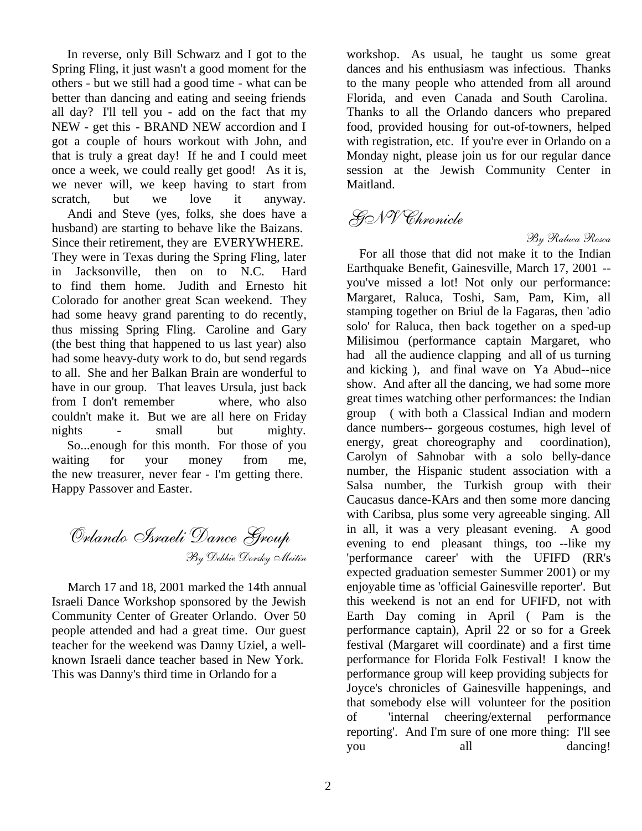In reverse, only Bill Schwarz and I got to the Spring Fling, it just wasn't a good moment for the others - but we still had a good time - what can be better than dancing and eating and seeing friends all day? I'll tell you - add on the fact that my NEW - get this - BRAND NEW accordion and I got a couple of hours workout with John, and that is truly a great day! If he and I could meet once a week, we could really get good! As it is, we never will, we keep having to start from scratch, but we love it anyway.

 Andi and Steve (yes, folks, she does have a husband) are starting to behave like the Baizans. Since their retirement, they are EVERYWHERE. They were in Texas during the Spring Fling, later in Jacksonville, then on to N.C. Hard to find them home. Judith and Ernesto hit Colorado for another great Scan weekend. They had some heavy grand parenting to do recently, thus missing Spring Fling. Caroline and Gary (the best thing that happened to us last year) also had some heavy-duty work to do, but send regards to all. She and her Balkan Brain are wonderful to have in our group. That leaves Ursula, just back from I don't remember where, who also couldn't make it. But we are all here on Friday nights - small but mighty. So...enough for this month. For those of you waiting for your money from me, the new treasurer, never fear - I'm getting there. Happy Passover and Easter.

Orlando Israeli Dance Group By Debbie Dorsky Meitin

 March 17 and 18, 2001 marked the 14th annual Israeli Dance Workshop sponsored by the Jewish Community Center of Greater Orlando. Over 50 people attended and had a great time. Our guest teacher for the weekend was Danny Uziel, a wellknown Israeli dance teacher based in New York. This was Danny's third time in Orlando for a

workshop. As usual, he taught us some great dances and his enthusiasm was infectious. Thanks to the many people who attended from all around Florida, and even Canada and South Carolina. Thanks to all the Orlando dancers who prepared food, provided housing for out-of-towners, helped with registration, etc. If you're ever in Orlando on a Monday night, please join us for our regular dance session at the Jewish Community Center in Maitland.

# GNV Chronicle

By Raluca Rosca

 For all those that did not make it to the Indian Earthquake Benefit, Gainesville, March 17, 2001 - you've missed a lot! Not only our performance: Margaret, Raluca, Toshi, Sam, Pam, Kim, all stamping together on Briul de la Fagaras, then 'adio solo' for Raluca, then back together on a sped-up Milisimou (performance captain Margaret, who had all the audience clapping and all of us turning and kicking ), and final wave on Ya Abud--nice show. And after all the dancing, we had some more great times watching other performances: the Indian group ( with both a Classical Indian and modern dance numbers-- gorgeous costumes, high level of energy, great choreography and coordination), Carolyn of Sahnobar with a solo belly-dance number, the Hispanic student association with a Salsa number, the Turkish group with their Caucasus dance-KArs and then some more dancing with Caribsa, plus some very agreeable singing. All in all, it was a very pleasant evening. A good evening to end pleasant things, too --like my 'performance career' with the UFIFD (RR's expected graduation semester Summer 2001) or my enjoyable time as 'official Gainesville reporter'. But this weekend is not an end for UFIFD, not with Earth Day coming in April ( Pam is the performance captain), April 22 or so for a Greek festival (Margaret will coordinate) and a first time performance for Florida Folk Festival! I know the performance group will keep providing subjects for Joyce's chronicles of Gainesville happenings, and that somebody else will volunteer for the position of 'internal cheering/external performance reporting'. And I'm sure of one more thing: I'll see you all dancing!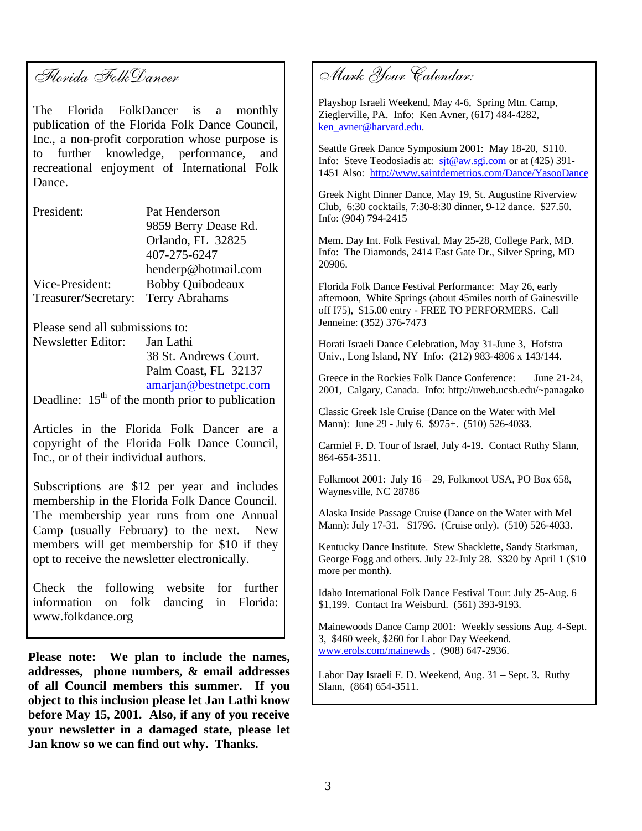# Florida FolkDancer

The Florida FolkDancer is a monthly publication of the Florida Folk Dance Council, Inc., a non-profit corporation whose purpose is to further knowledge, performance, and recreational enjoyment of International Folk Dance.

| President:           | Pat Henderson         |
|----------------------|-----------------------|
|                      | 9859 Berry Dease Rd.  |
|                      | Orlando, FL 32825     |
|                      | 407-275-6247          |
|                      | henderp@hotmail.com   |
| Vice-President:      | Bobby Quibodeaux      |
| Treasurer/Secretary: | <b>Terry Abrahams</b> |

Please send all submissions to: Newsletter Editor: Jan Lathi 38 St. Andrews Court. Palm Coast, FL 32137 amarjan@bestnetpc.com

Deadline:  $15<sup>th</sup>$  of the month prior to publication

Articles in the Florida Folk Dancer are a copyright of the Florida Folk Dance Council, Inc., or of their individual authors.

Subscriptions are \$12 per year and includes membership in the Florida Folk Dance Council. The membership year runs from one Annual Camp (usually February) to the next. New members will get membership for \$10 if they opt to receive the newsletter electronically.

Check the following website for further information on folk dancing in Florida: www.folkdance.org

**Please note: We plan to include the names, addresses, phone numbers, & email addresses of all Council members this summer. If you object to this inclusion please let Jan Lathi know before May 15, 2001. Also, if any of you receive your newsletter in a damaged state, please let Jan know so we can find out why. Thanks.**

Mark Your Calendar:

Playshop Israeli Weekend, May 4-6, Spring Mtn. Camp, Zieglerville, PA. Info: Ken Avner, (617) 484-4282, ken\_avner@harvard.edu.

Seattle Greek Dance Symposium 2001: May 18-20, \$110. Info: Steve Teodosiadis at: sit@aw.sgi.com or at (425) 391-1451 Also: http://www.saintdemetrios.com/Dance/YasooDance

Greek Night Dinner Dance, May 19, St. Augustine Riverview Club, 6:30 cocktails, 7:30-8:30 dinner, 9-12 dance. \$27.50. Info: (904) 794-2415

Mem. Day Int. Folk Festival, May 25-28, College Park, MD. Info: The Diamonds, 2414 East Gate Dr., Silver Spring, MD 20906.

Florida Folk Dance Festival Performance: May 26, early afternoon, White Springs (about 45miles north of Gainesville off I75), \$15.00 entry - FREE TO PERFORMERS. Call Jenneine: (352) 376-7473

Horati Israeli Dance Celebration, May 31-June 3, Hofstra Univ., Long Island, NY Info: (212) 983-4806 x 143/144.

Greece in the Rockies Folk Dance Conference: June 21-24, 2001, Calgary, Canada. Info: http://uweb.ucsb.edu/~panagako

Classic Greek Isle Cruise (Dance on the Water with Mel Mann): June 29 - July 6. \$975+. (510) 526-4033.

Carmiel F. D. Tour of Israel, July 4-19. Contact Ruthy Slann, 864-654-3511.

Folkmoot 2001: July 16 – 29, Folkmoot USA, PO Box 658, Waynesville, NC 28786

Alaska Inside Passage Cruise (Dance on the Water with Mel Mann): July 17-31. \$1796. (Cruise only). (510) 526-4033.

Kentucky Dance Institute. Stew Shacklette, Sandy Starkman, George Fogg and others. July 22-July 28. \$320 by April 1 (\$10 more per month).

Idaho International Folk Dance Festival Tour: July 25-Aug. 6 \$1,199. Contact Ira Weisburd. (561) 393-9193.

Mainewoods Dance Camp 2001: Weekly sessions Aug. 4-Sept. 3, \$460 week, \$260 for Labor Day Weekend. www.erols.com/mainewds , (908) 647-2936.

Labor Day Israeli F. D. Weekend, Aug. 31 – Sept. 3. Ruthy Slann, (864) 654-3511.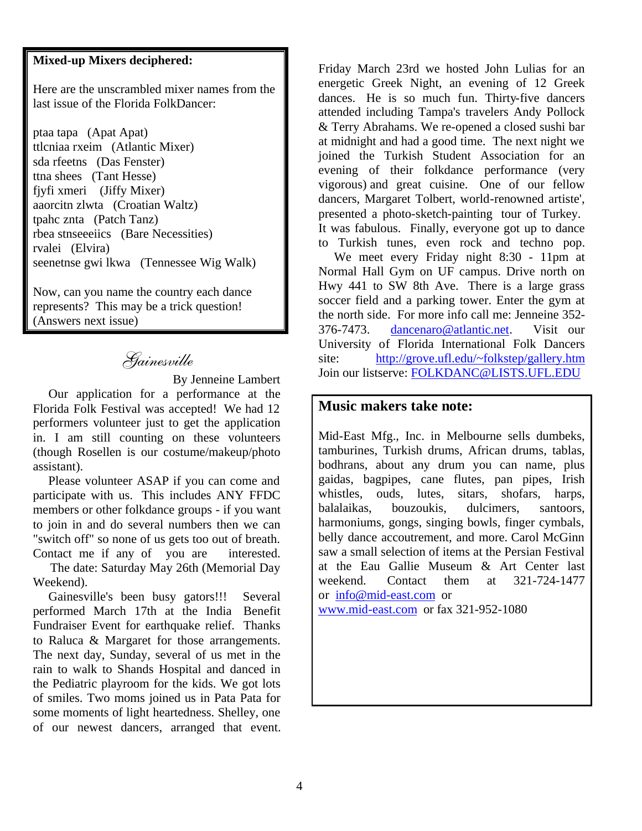### **Mixed-up Mixers deciphered:**

Here are the unscrambled mixer names from the last issue of the Florida FolkDancer:

ptaa tapa (Apat Apat) ttlcniaa rxeim (Atlantic Mixer) sda rfeetns (Das Fenster) ttna shees (Tant Hesse) fjyfi xmeri (Jiffy Mixer) aaorcitn zlwta (Croatian Waltz) tpahc znta (Patch Tanz) rbea stnseeeiics (Bare Necessities) rvalei (Elvira) seenetnse gwi lkwa (Tennessee Wig Walk)

Now, can you name the country each dance represents? This may be a trick question! (Answers next issue)

## Gainesville

By Jenneine Lambert

 Our application for a performance at the Florida Folk Festival was accepted! We had 12 performers volunteer just to get the application in. I am still counting on these volunteers (though Rosellen is our costume/makeup/photo assistant).

 Please volunteer ASAP if you can come and participate with us. This includes ANY FFDC members or other folkdance groups - if you want to join in and do several numbers then we can "switch off" so none of us gets too out of breath. Contact me if any of you are interested.

 The date: Saturday May 26th (Memorial Day Weekend).

 Gainesville's been busy gators!!! Several performed March 17th at the India Benefit Fundraiser Event for earthquake relief. Thanks to Raluca & Margaret for those arrangements. The next day, Sunday, several of us met in the rain to walk to Shands Hospital and danced in the Pediatric playroom for the kids. We got lots of smiles. Two moms joined us in Pata Pata for some moments of light heartedness. Shelley, one of our newest dancers, arranged that event.

Friday March 23rd we hosted John Lulias for an energetic Greek Night, an evening of 12 Greek dances. He is so much fun. Thirty-five dancers attended including Tampa's travelers Andy Pollock & Terry Abrahams. We re-opened a closed sushi bar at midnight and had a good time. The next night we joined the Turkish Student Association for an evening of their folkdance performance (very vigorous) and great cuisine. One of our fellow dancers, Margaret Tolbert, world-renowned artiste', presented a photo-sketch-painting tour of Turkey. It was fabulous. Finally, everyone got up to dance to Turkish tunes, even rock and techno pop.

 We meet every Friday night 8:30 - 11pm at Normal Hall Gym on UF campus. Drive north on Hwy 441 to SW 8th Ave. There is a large grass soccer field and a parking tower. Enter the gym at the north side. For more info call me: Jenneine 352- 376-7473. dancenaro@atlantic.net. Visit our University of Florida International Folk Dancers site: http://grove.ufl.edu/~folkstep/gallery.htm Join our listserve: FOLKDANC@LISTS.UFL.EDU

#### **Music makers take note:**

Mid-East Mfg., Inc. in Melbourne sells dumbeks, tamburines, Turkish drums, African drums, tablas, bodhrans, about any drum you can name, plus gaidas, bagpipes, cane flutes, pan pipes, Irish whistles, ouds, lutes, sitars, shofars, harps, balalaikas, bouzoukis, dulcimers, santoors, harmoniums, gongs, singing bowls, finger cymbals, belly dance accoutrement, and more. Carol McGinn saw a small selection of items at the Persian Festival at the Eau Gallie Museum & Art Center last weekend. Contact them at 321-724-1477 or info@mid-east.com or www.mid-east.com or fax 321-952-1080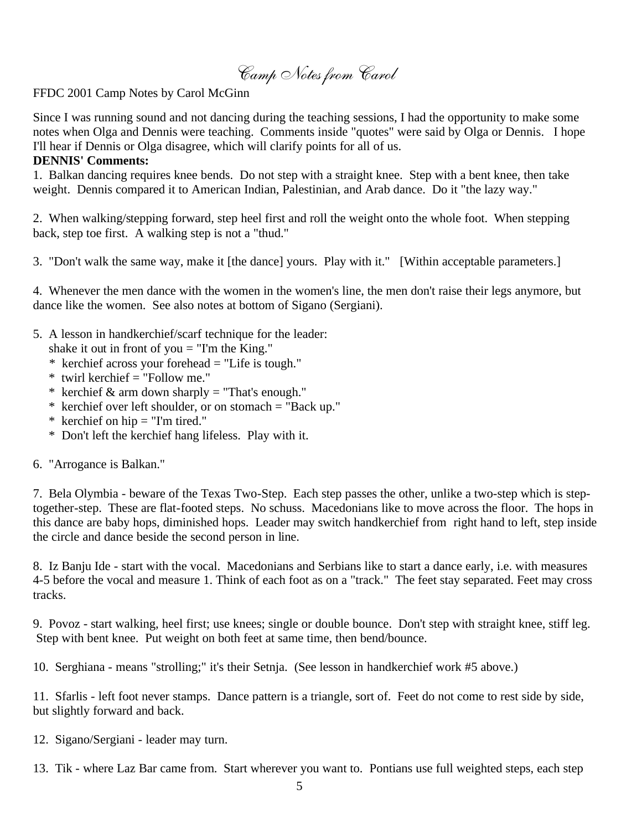Camp Notes from Carol

FFDC 2001 Camp Notes by Carol McGinn

Since I was running sound and not dancing during the teaching sessions, I had the opportunity to make some notes when Olga and Dennis were teaching. Comments inside "quotes" were said by Olga or Dennis. I hope I'll hear if Dennis or Olga disagree, which will clarify points for all of us.

#### **DENNIS' Comments:**

1. Balkan dancing requires knee bends. Do not step with a straight knee. Step with a bent knee, then take weight. Dennis compared it to American Indian, Palestinian, and Arab dance. Do it "the lazy way."

2. When walking/stepping forward, step heel first and roll the weight onto the whole foot. When stepping back, step toe first. A walking step is not a "thud."

3. "Don't walk the same way, make it [the dance] yours. Play with it." [Within acceptable parameters.]

4. Whenever the men dance with the women in the women's line, the men don't raise their legs anymore, but dance like the women. See also notes at bottom of Sigano (Sergiani).

5. A lesson in handkerchief/scarf technique for the leader:

shake it out in front of you  $=$  "I'm the King."

- \* kerchief across your forehead = "Life is tough."
- \* twirl kerchief = "Follow me."
- \* kerchief & arm down sharply = "That's enough."
- \* kerchief over left shoulder, or on stomach = "Back up."
- \* kerchief on hip  $=$  "I'm tired."
- \* Don't left the kerchief hang lifeless. Play with it.
- 6. "Arrogance is Balkan."

7. Bela Olymbia - beware of the Texas Two-Step. Each step passes the other, unlike a two-step which is steptogether-step. These are flat-footed steps. No schuss. Macedonians like to move across the floor. The hops in this dance are baby hops, diminished hops. Leader may switch handkerchief from right hand to left, step inside the circle and dance beside the second person in line.

8. Iz Banju Ide - start with the vocal. Macedonians and Serbians like to start a dance early, i.e. with measures 4-5 before the vocal and measure 1. Think of each foot as on a "track." The feet stay separated. Feet may cross tracks.

9. Povoz - start walking, heel first; use knees; single or double bounce. Don't step with straight knee, stiff leg. Step with bent knee. Put weight on both feet at same time, then bend/bounce.

10. Serghiana - means "strolling;" it's their Setnja. (See lesson in handkerchief work #5 above.)

11. Sfarlis - left foot never stamps. Dance pattern is a triangle, sort of. Feet do not come to rest side by side, but slightly forward and back.

- 12. Sigano/Sergiani leader may turn.
- 13. Tik where Laz Bar came from. Start wherever you want to. Pontians use full weighted steps, each step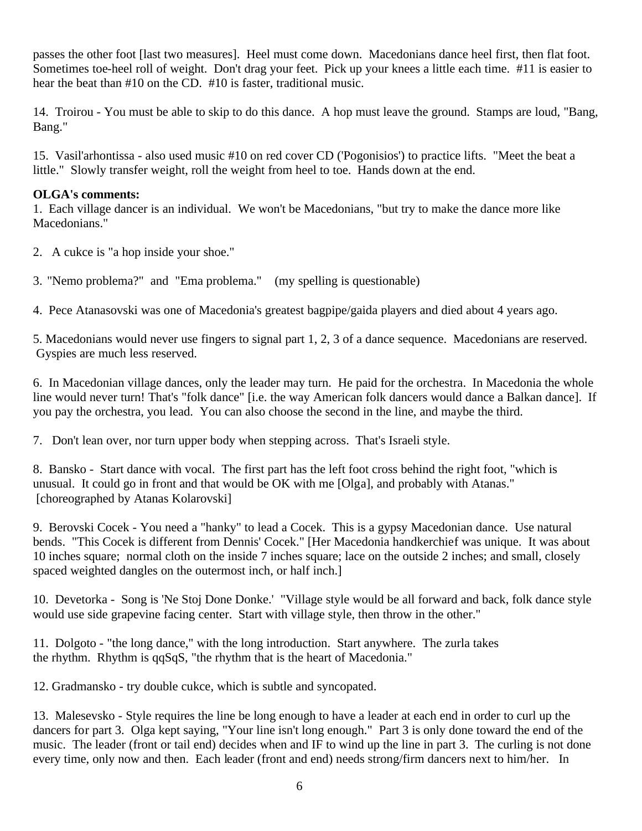passes the other foot [last two measures]. Heel must come down. Macedonians dance heel first, then flat foot. Sometimes toe-heel roll of weight. Don't drag your feet. Pick up your knees a little each time. #11 is easier to hear the beat than #10 on the CD. #10 is faster, traditional music.

14. Troirou - You must be able to skip to do this dance. A hop must leave the ground. Stamps are loud, "Bang, Bang."

15. Vasil'arhontissa - also used music #10 on red cover CD ('Pogonisios') to practice lifts. "Meet the beat a little." Slowly transfer weight, roll the weight from heel to toe. Hands down at the end.

#### **OLGA's comments:**

1. Each village dancer is an individual. We won't be Macedonians, "but try to make the dance more like Macedonians."

2. A cukce is "a hop inside your shoe."

3. "Nemo problema?" and "Ema problema." (my spelling is questionable)

4. Pece Atanasovski was one of Macedonia's greatest bagpipe/gaida players and died about 4 years ago.

5. Macedonians would never use fingers to signal part 1, 2, 3 of a dance sequence. Macedonians are reserved. Gyspies are much less reserved.

6. In Macedonian village dances, only the leader may turn. He paid for the orchestra. In Macedonia the whole line would never turn! That's "folk dance" [i.e. the way American folk dancers would dance a Balkan dance]. If you pay the orchestra, you lead. You can also choose the second in the line, and maybe the third.

7. Don't lean over, nor turn upper body when stepping across. That's Israeli style.

8. Bansko - Start dance with vocal. The first part has the left foot cross behind the right foot, "which is unusual. It could go in front and that would be OK with me [Olga], and probably with Atanas." [choreographed by Atanas Kolarovski]

9. Berovski Cocek - You need a "hanky" to lead a Cocek. This is a gypsy Macedonian dance. Use natural bends. "This Cocek is different from Dennis' Cocek." [Her Macedonia handkerchief was unique. It was about 10 inches square; normal cloth on the inside 7 inches square; lace on the outside 2 inches; and small, closely spaced weighted dangles on the outermost inch, or half inch.]

10. Devetorka - Song is 'Ne Stoj Done Donke.' "Village style would be all forward and back, folk dance style would use side grapevine facing center. Start with village style, then throw in the other."

11. Dolgoto - "the long dance," with the long introduction. Start anywhere. The zurla takes the rhythm. Rhythm is qqSqS, "the rhythm that is the heart of Macedonia."

12. Gradmansko - try double cukce, which is subtle and syncopated.

13. Malesevsko - Style requires the line be long enough to have a leader at each end in order to curl up the dancers for part 3. Olga kept saying, "Your line isn't long enough." Part 3 is only done toward the end of the music. The leader (front or tail end) decides when and IF to wind up the line in part 3. The curling is not done every time, only now and then. Each leader (front and end) needs strong/firm dancers next to him/her. In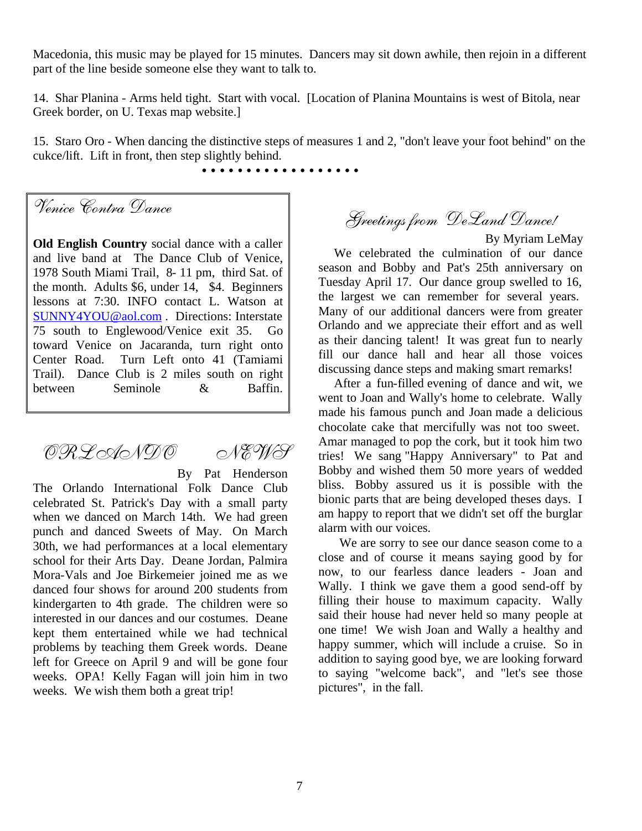Macedonia, this music may be played for 15 minutes. Dancers may sit down awhile, then rejoin in a different part of the line beside someone else they want to talk to.

14. Shar Planina - Arms held tight. Start with vocal. [Location of Planina Mountains is west of Bitola, near Greek border, on U. Texas map website.]

15. Staro Oro - When dancing the distinctive steps of measures 1 and 2, "don't leave your foot behind" on the cukce/lift. Lift in front, then step slightly behind.

• • • • • • • • • • • • • • • • • •

Venice Contra Dance

**Old English Country** social dance with a caller and live band at The Dance Club of Venice, 1978 South Miami Trail, 8- 11 pm, third Sat. of the month. Adults \$6, under 14, \$4. Beginners lessons at 7:30. INFO contact L. Watson at SUNNY4YOU@aol.com . Directions: Interstate 75 south to Englewood/Venice exit 35. Go toward Venice on Jacaranda, turn right onto Center Road. Turn Left onto 41 (Tamiami Trail). Dance Club is 2 miles south on right between Seminole & Baffin.

# ORLANDO NEWS

By Pat Henderson

The Orlando International Folk Dance Club celebrated St. Patrick's Day with a small party when we danced on March 14th. We had green punch and danced Sweets of May. On March 30th, we had performances at a local elementary school for their Arts Day. Deane Jordan, Palmira Mora-Vals and Joe Birkemeier joined me as we danced four shows for around 200 students from kindergarten to 4th grade. The children were so interested in our dances and our costumes. Deane kept them entertained while we had technical problems by teaching them Greek words. Deane left for Greece on April 9 and will be gone four weeks. OPA! Kelly Fagan will join him in two weeks. We wish them both a great trip!

Greetings from DeLand Dance!

By Myriam LeMay

 We celebrated the culmination of our dance season and Bobby and Pat's 25th anniversary on Tuesday April 17. Our dance group swelled to 16, the largest we can remember for several years. Many of our additional dancers were from greater Orlando and we appreciate their effort and as well as their dancing talent! It was great fun to nearly fill our dance hall and hear all those voices discussing dance steps and making smart remarks!

 After a fun-filled evening of dance and wit, we went to Joan and Wally's home to celebrate. Wally made his famous punch and Joan made a delicious chocolate cake that mercifully was not too sweet. Amar managed to pop the cork, but it took him two tries! We sang "Happy Anniversary" to Pat and Bobby and wished them 50 more years of wedded bliss. Bobby assured us it is possible with the bionic parts that are being developed theses days. I am happy to report that we didn't set off the burglar alarm with our voices.

 We are sorry to see our dance season come to a close and of course it means saying good by for now, to our fearless dance leaders - Joan and Wally. I think we gave them a good send-off by filling their house to maximum capacity. Wally said their house had never held so many people at one time! We wish Joan and Wally a healthy and happy summer, which will include a cruise. So in addition to saying good bye, we are looking forward to saying "welcome back", and "let's see those pictures", in the fall.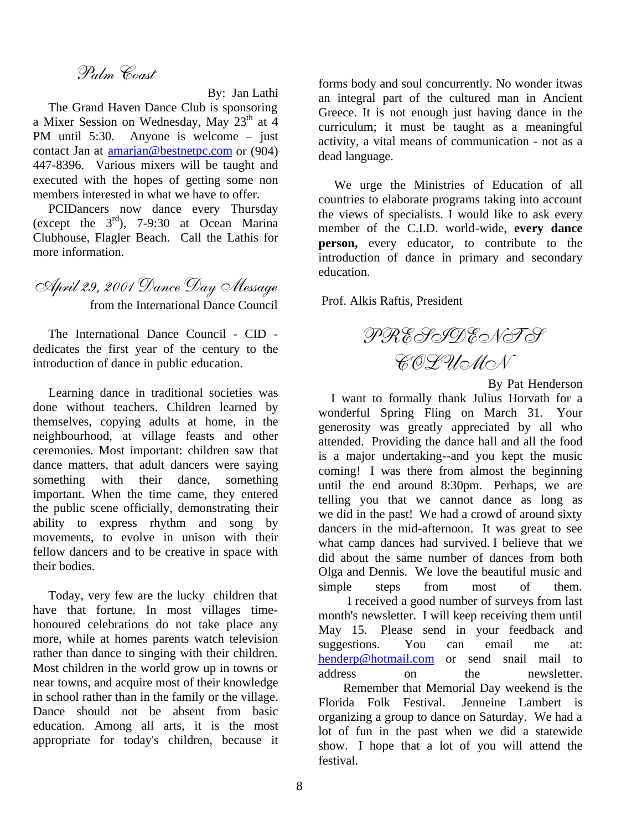## Palm Coast

By: Jan Lathi

 The Grand Haven Dance Club is sponsoring a Mixer Session on Wednesday, May  $23<sup>th</sup>$  at 4 PM until 5:30. Anyone is welcome – just contact Jan at amarjan@bestnetpc.com or (904) 447-8396. Various mixers will be taught and executed with the hopes of getting some non members interested in what we have to offer.

 PCIDancers now dance every Thursday (except the  $3<sup>rd</sup>$ ), 7-9:30 at Ocean Marina Clubhouse, Flagler Beach. Call the Lathis for more information.

April 29, 2001 Dance Day Message from the International Dance Council

 The International Dance Council - CID dedicates the first year of the century to the introduction of dance in public education.

 Learning dance in traditional societies was done without teachers. Children learned by themselves, copying adults at home, in the neighbourhood, at village feasts and other ceremonies. Most important: children saw that dance matters, that adult dancers were saying something with their dance, something important. When the time came, they entered the public scene officially, demonstrating their ability to express rhythm and song by movements, to evolve in unison with their fellow dancers and to be creative in space with their bodies.

 Today, very few are the lucky children that have that fortune. In most villages timehonoured celebrations do not take place any more, while at homes parents watch television rather than dance to singing with their children. Most children in the world grow up in towns or near towns, and acquire most of their knowledge in school rather than in the family or the village. Dance should not be absent from basic education. Among all arts, it is the most appropriate for today's children, because it forms body and soul concurrently. No wonder itwas an integral part of the cultured man in Ancient Greece. It is not enough just having dance in the curriculum; it must be taught as a meaningful activity, a vital means of communication - not as a dead language.

 We urge the Ministries of Education of all countries to elaborate programs taking into account the views of specialists. I would like to ask every member of the C.I.D. world-wide, **every dance person,** every educator, to contribute to the introduction of dance in primary and secondary education.

Prof. Alkis Raftis, President

PRESIDENT'S COLUMN

By Pat Henderson

 I want to formally thank Julius Horvath for a wonderful Spring Fling on March 31. Your generosity was greatly appreciated by all who attended. Providing the dance hall and all the food is a major undertaking--and you kept the music coming! I was there from almost the beginning until the end around 8:30pm. Perhaps, we are telling you that we cannot dance as long as we did in the past! We had a crowd of around sixty dancers in the mid-afternoon. It was great to see what camp dances had survived. I believe that we did about the same number of dances from both Olga and Dennis. We love the beautiful music and simple steps from most of them.

 I received a good number of surveys from last month's newsletter. I will keep receiving them until May 15. Please send in your feedback and suggestions. You can email me at: henderp@hotmail.com or send snail mail to address on the newsletter.

 Remember that Memorial Day weekend is the Florida Folk Festival. Jenneine Lambert is organizing a group to dance on Saturday. We had a lot of fun in the past when we did a statewide show. I hope that a lot of you will attend the festival.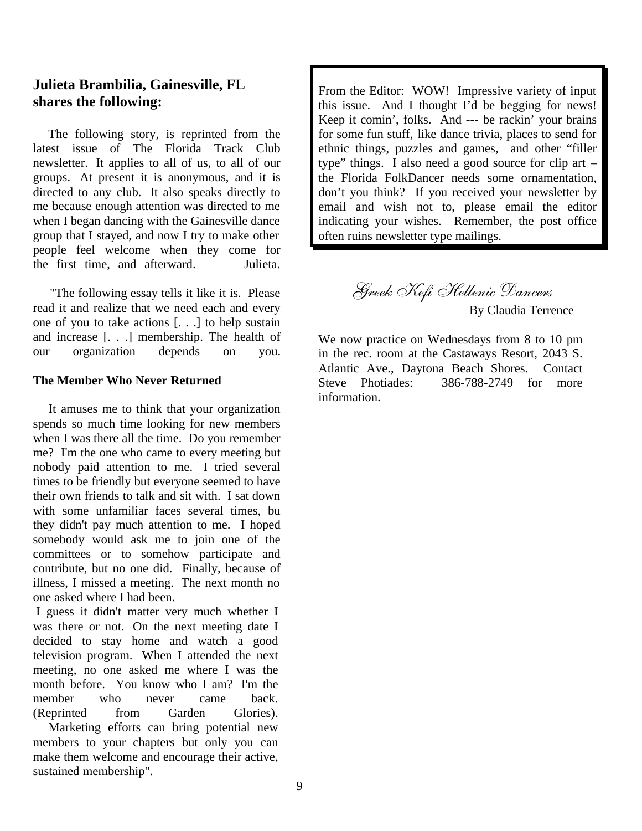## **Julieta Brambilia, Gainesville, FL shares the following:**

 The following story, is reprinted from the latest issue of The Florida Track Club newsletter. It applies to all of us, to all of our groups. At present it is anonymous, and it is directed to any club. It also speaks directly to me because enough attention was directed to me when I began dancing with the Gainesville dance group that I stayed, and now I try to make other people feel welcome when they come for the first time, and afterward. Julieta.

 "The following essay tells it like it is. Please read it and realize that we need each and every one of you to take actions [. . .] to help sustain and increase [. . .] membership. The health of our organization depends on you.

#### **The Member Who Never Returned**

 It amuses me to think that your organization spends so much time looking for new members when I was there all the time. Do you remember me? I'm the one who came to every meeting but nobody paid attention to me. I tried several times to be friendly but everyone seemed to have their own friends to talk and sit with. I sat down with some unfamiliar faces several times, bu they didn't pay much attention to me. I hoped somebody would ask me to join one of the committees or to somehow participate and contribute, but no one did. Finally, because of illness, I missed a meeting. The next month no one asked where I had been.

 I guess it didn't matter very much whether I was there or not. On the next meeting date I decided to stay home and watch a good television program. When I attended the next meeting, no one asked me where I was the month before. You know who I am? I'm the member who never came back. (Reprinted from Garden Glories).

 Marketing efforts can bring potential new members to your chapters but only you can make them welcome and encourage their active, sustained membership".

From the Editor: WOW! Impressive variety of input this issue. And I thought I'd be begging for news! Keep it comin', folks. And --- be rackin' your brains for some fun stuff, like dance trivia, places to send for ethnic things, puzzles and games, and other "filler type" things. I also need a good source for clip art – the Florida FolkDancer needs some ornamentation, don't you think? If you received your newsletter by email and wish not to, please email the editor indicating your wishes. Remember, the post office often ruins newsletter type mailings.

> Greek Kefi Hellenic Dancers By Claudia Terrence

We now practice on Wednesdays from 8 to 10 pm in the rec. room at the Castaways Resort, 2043 S. Atlantic Ave., Daytona Beach Shores. Contact Steve Photiades: 386-788-2749 for more information.